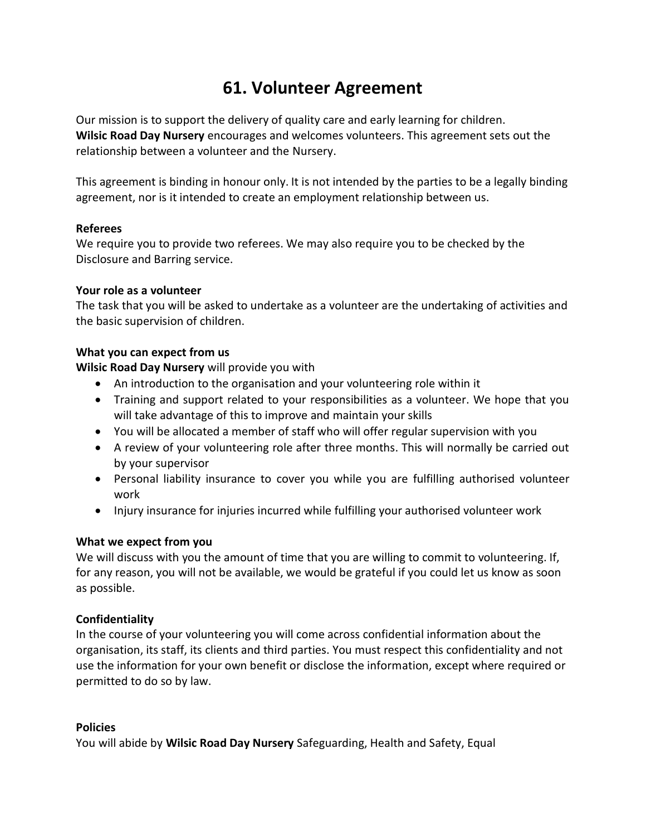# **61. Volunteer Agreement**

Our mission is to support the delivery of quality care and early learning for children. **Wilsic Road Day Nursery** encourages and welcomes volunteers. This agreement sets out the relationship between a volunteer and the Nursery.

This agreement is binding in honour only. It is not intended by the parties to be a legally binding agreement, nor is it intended to create an employment relationship between us.

## **Referees**

We require you to provide two referees. We may also require you to be checked by the Disclosure and Barring service.

## **Your role as a volunteer**

The task that you will be asked to undertake as a volunteer are the undertaking of activities and the basic supervision of children.

## **What you can expect from us**

**Wilsic Road Day Nursery** will provide you with

- An introduction to the organisation and your volunteering role within it
- Training and support related to your responsibilities as a volunteer. We hope that you will take advantage of this to improve and maintain your skills
- You will be allocated a member of staff who will offer regular supervision with you
- A review of your volunteering role after three months. This will normally be carried out by your supervisor
- Personal liability insurance to cover you while you are fulfilling authorised volunteer work
- Injury insurance for injuries incurred while fulfilling your authorised volunteer work

## **What we expect from you**

We will discuss with you the amount of time that you are willing to commit to volunteering. If, for any reason, you will not be available, we would be grateful if you could let us know as soon as possible.

## **Confidentiality**

In the course of your volunteering you will come across confidential information about the organisation, its staff, its clients and third parties. You must respect this confidentiality and not use the information for your own benefit or disclose the information, except where required or permitted to do so by law.

## **Policies**

You will abide by **Wilsic Road Day Nursery** Safeguarding, Health and Safety, Equal